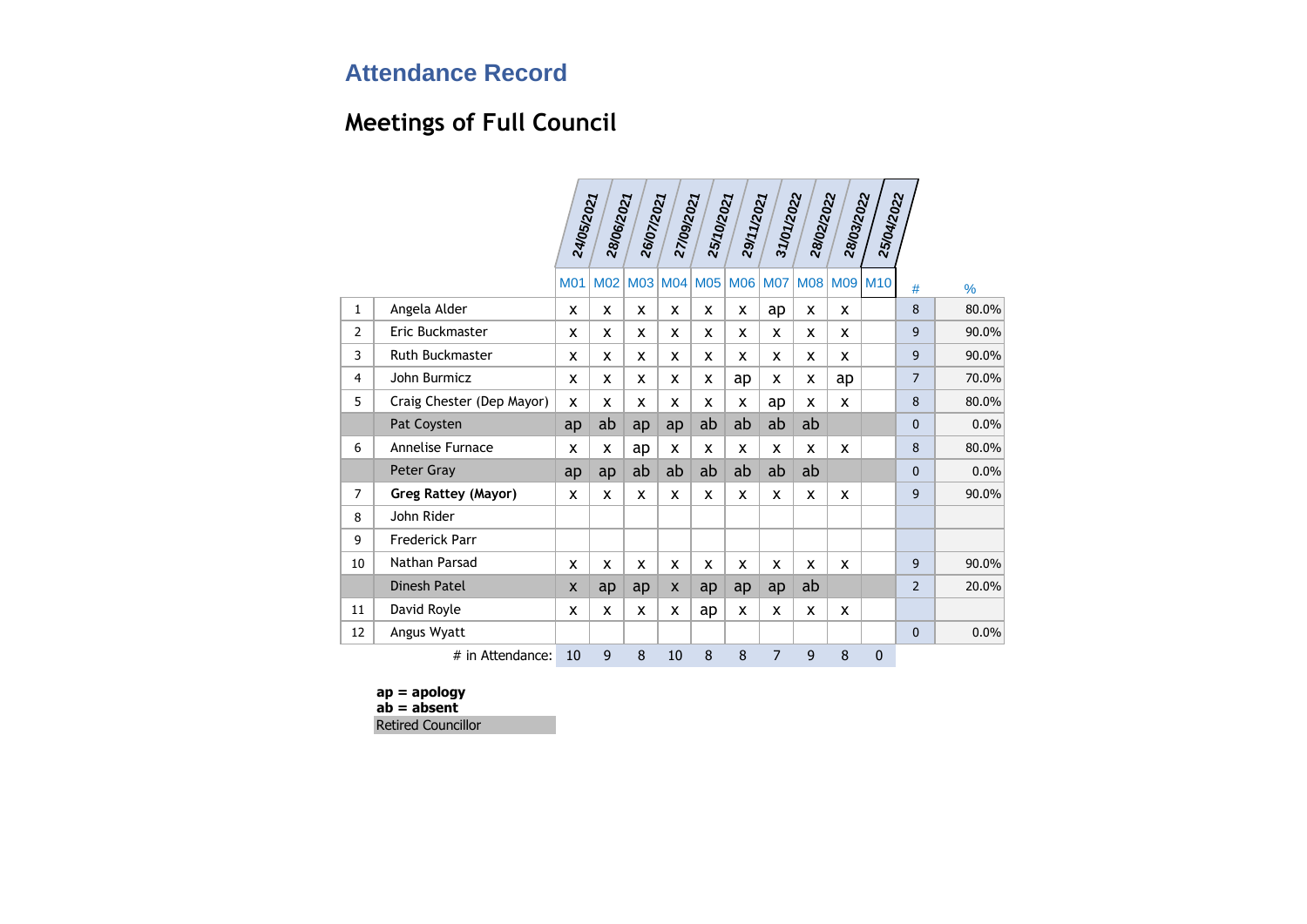# **Meetings of Full Council**

|                |                           | 24/05/2021 | 28/06/2021 | 26/07/2021 | 27/09/2021 | 25/10/2021      | 29/11/2021 | 31/01/2022 | 28/02/2022 | 28/03/2022 | 25/04/2022   |                |               |
|----------------|---------------------------|------------|------------|------------|------------|-----------------|------------|------------|------------|------------|--------------|----------------|---------------|
|                |                           | <b>M01</b> | <b>M02</b> | M03 M04    |            | M <sub>05</sub> | <b>M06</b> | <b>M07</b> | <b>M08</b> | <b>M09</b> | <b>M10</b>   | #              | $\frac{9}{6}$ |
| $\mathbf{1}$   | Angela Alder              | X          | x          | X          | X          | x               | X          | ap         | X          | x          |              | 8              | 80.0%         |
| $\overline{2}$ | Eric Buckmaster           | X          | X          | X          | X          | x               | x          | X          | X          | X          |              | 9              | 90.0%         |
| 3              | <b>Ruth Buckmaster</b>    | X          | X          | X          | X          | X               | X          | X          | X          | X          |              | 9              | 90.0%         |
| 4              | John Burmicz              | X          | X          | x          | X          | x               | ap         | X          | X          | ap         |              | $\overline{7}$ | 70.0%         |
| 5              | Craig Chester (Dep Mayor) | X          | X          | X          | X          | X               | x          | ap         | X          | X          |              | 8              | 80.0%         |
|                | Pat Coysten               | ap         | ab         | ap         | ap         | ab              | ab         | ab         | ab         |            |              | 0              | 0.0%          |
| 6              | Annelise Furnace          | X          | X          | ap         | X          | X               | X          | X          | X          | X          |              | 8              | 80.0%         |
|                | Peter Gray                | ap         | ap         | ab         | ab         | ab              | ab         | ab         | ab         |            |              | 0              | 0.0%          |
| $\overline{7}$ | Greg Rattey (Mayor)       | X          | X          | X          | X          | X               | X          | X          | X          | X          |              | 9              | 90.0%         |
| 8              | John Rider                |            |            |            |            |                 |            |            |            |            |              |                |               |
| 9              | <b>Frederick Parr</b>     |            |            |            |            |                 |            |            |            |            |              |                |               |
| 10             | Nathan Parsad             | x          | X          | x          | X          | x               | x          | x          | x          | X          |              | 9              | 90.0%         |
|                | Dinesh Patel              | X          | ap         | ap         | X          | ap              | ap         | ap         | ab         |            |              | $\overline{2}$ | 20.0%         |
| 11             | David Royle               | X          | X          | X          | x          | ap              | X          | X          | X          | X          |              |                |               |
| 12             | Angus Wyatt               |            |            |            |            |                 |            |            |            |            |              | $\mathbf{0}$   | 0.0%          |
|                | # in Attendance:          | 10         | 9          | 8          | 10         | 8               | 8          | 7          | 9          | 8          | $\mathbf{0}$ |                |               |

**ap = apology ab = absent** Retired Councillor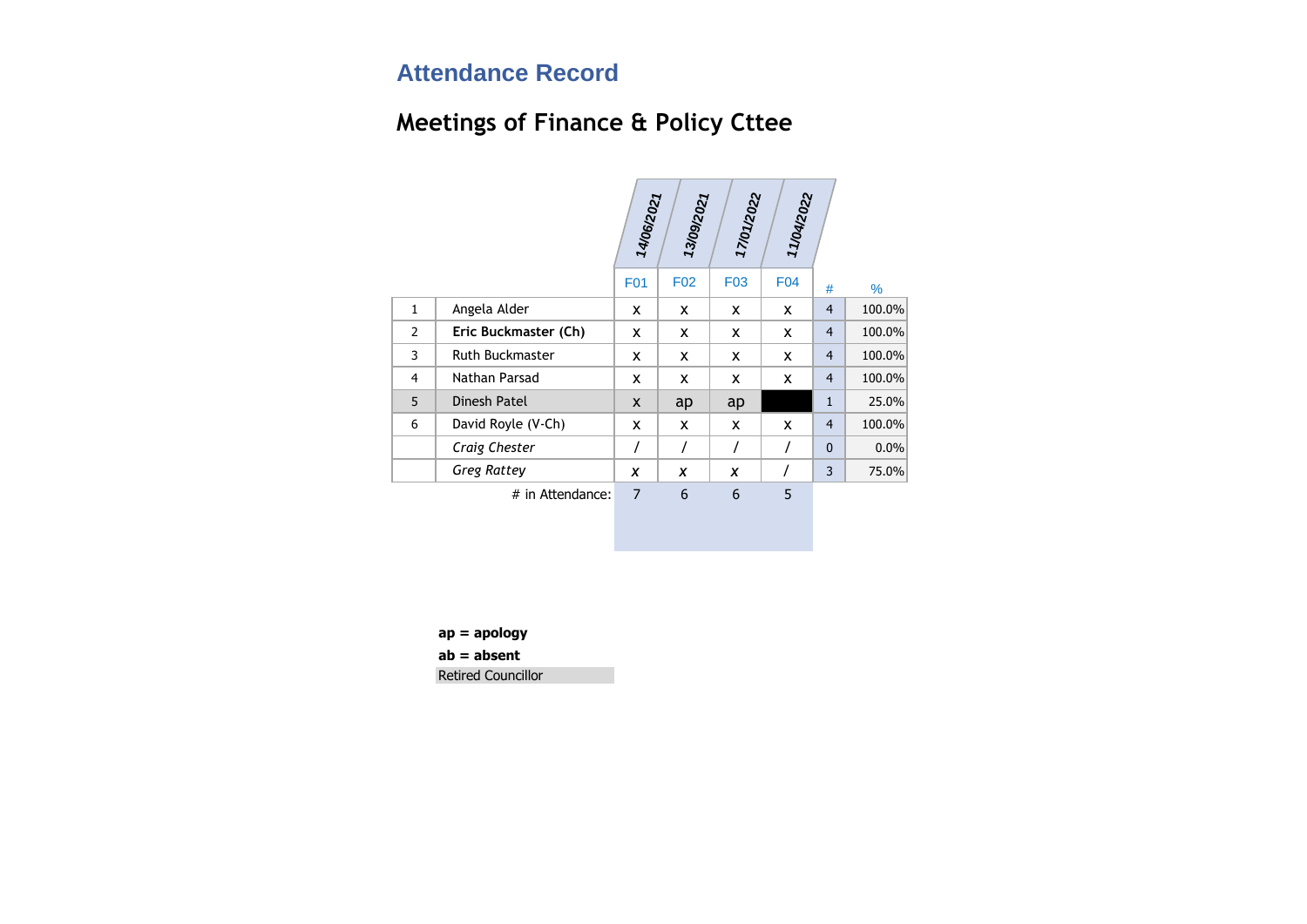# **Meetings of Finance & Policy Cttee**

|              |                        | 14/06/2021     | 13/09/2021 | 17/01/2022      | 11/04/2022 |                |        |
|--------------|------------------------|----------------|------------|-----------------|------------|----------------|--------|
|              |                        | <b>F01</b>     | <b>F02</b> | F <sub>03</sub> | <b>F04</b> | #              | $\%$   |
| $\mathbf{1}$ | Angela Alder           | X              | X          | x               | x          | $\overline{4}$ | 100.0% |
| 2            | Eric Buckmaster (Ch)   | X              | X          | X               | X          | $\overline{4}$ | 100.0% |
| 3            | <b>Ruth Buckmaster</b> | X              | X          | X               | x          | $\overline{4}$ | 100.0% |
| 4            | Nathan Parsad          | X              | X          | x               | X          | $\overline{4}$ | 100.0% |
| 5            | Dinesh Patel           | X              | ap         | ap              |            | $\mathbf{1}$   | 25.0%  |
| 6            | David Royle (V-Ch)     | X              | X          | x               | X          | $\overline{4}$ | 100.0% |
|              | Craig Chester          | 7              | Ι          | $\prime$        | $\prime$   | $\mathbf{0}$   | 0.0%   |
|              | <b>Greg Rattey</b>     | X              | X          | X               |            | 3              | 75.0%  |
|              | # in Attendance:       | $\overline{7}$ | 6          | 6               | 5          |                |        |

**ap = apology**

**ab = absent**

Retired Councillor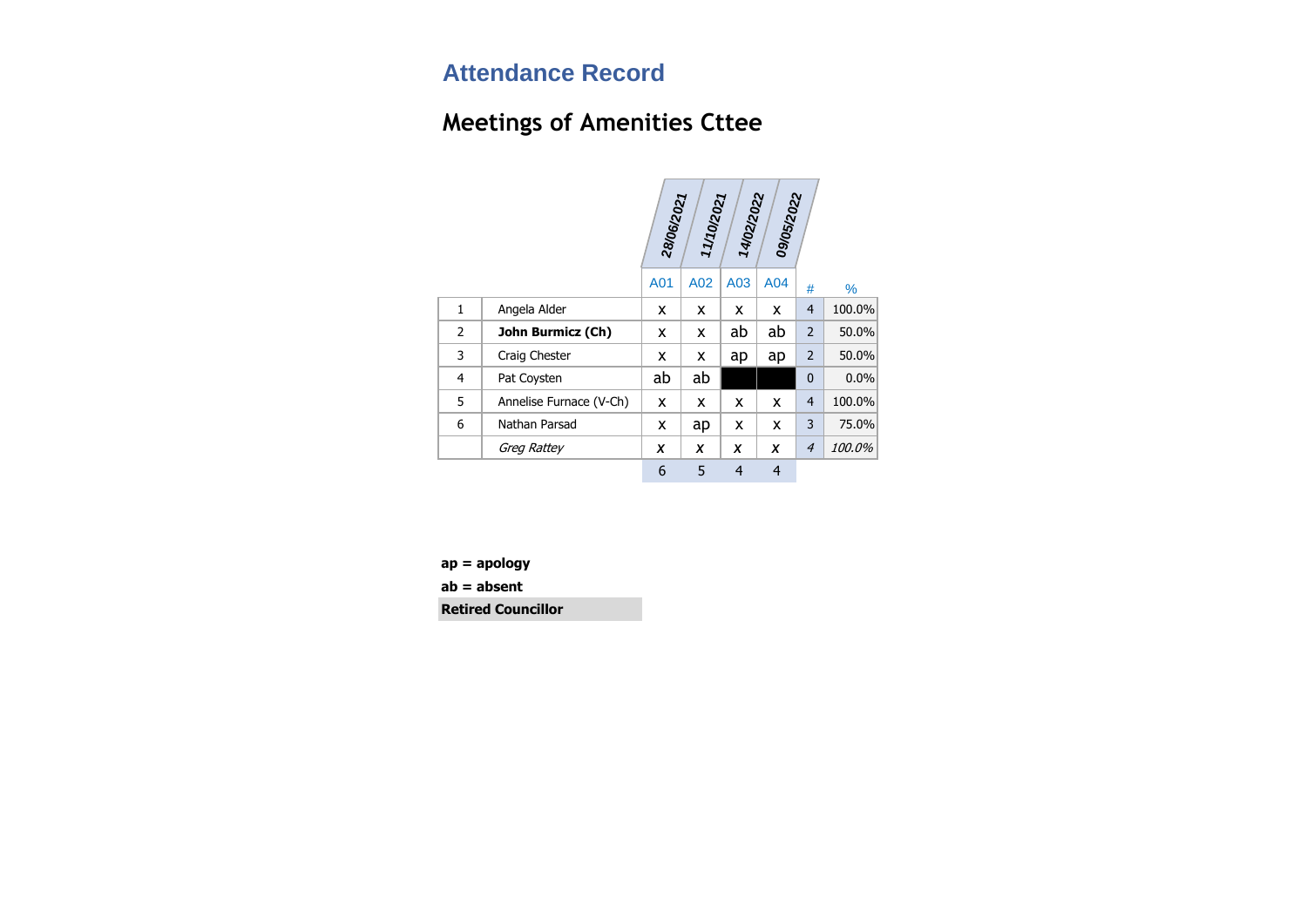# **Meetings of Amenities Cttee**

|                |                         | 28/06/2021 | 11/10/2021 | 14/02/2022     | 09/05/2022     |                |        |
|----------------|-------------------------|------------|------------|----------------|----------------|----------------|--------|
|                |                         |            |            |                |                |                |        |
|                |                         | A01        | A02        | A03            | A04            | #              | ℅      |
| 1              | Angela Alder            | x          | X          | x              | x              | $\overline{4}$ | 100.0% |
| $\overline{2}$ | John Burmicz (Ch)       | x          | X          | ab             | ab             | $\overline{2}$ | 50.0%  |
| 3              | Craig Chester           | x          | x          | ap             | ap             | $\overline{2}$ | 50.0%  |
| 4              | Pat Coysten             | ab         | ab         |                |                | 0              | 0.0%   |
| 5              | Annelise Furnace (V-Ch) | x          | X          | x              | x              | $\overline{4}$ | 100.0% |
| 6              | Nathan Parsad           | x          | ap         | x              | X              | 3              | 75.0%  |
|                | Greg Rattey             | X          | X          | x              | X              | $\overline{4}$ | 100.0% |
|                |                         | 6          | 5          | $\overline{4}$ | $\overline{4}$ |                |        |

**ap = apology**

**ab = absent**

**Retired Councillor**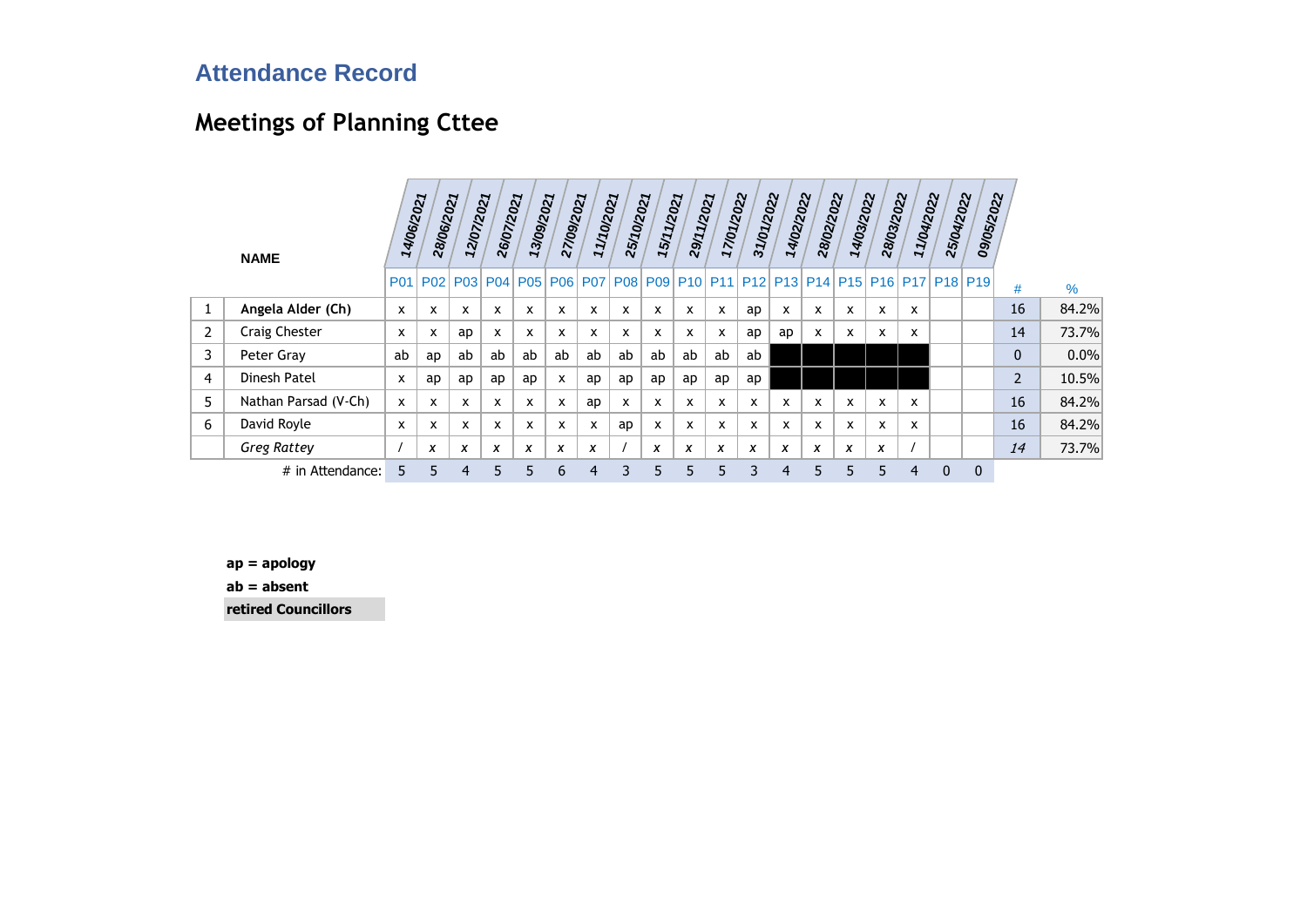# **Meetings of Planning Cttee**

|   | <b>NAME</b>          | 14/06/2021   | 28/06/2021 | 12/07/2021     | 26/07/2021      | 13/09/2021                  | 27/09/2021 | 11/10/2021 | 25/10/2021 | 15/11/2021 | 29/11/2021 | 17/01/2022 | 31/01/2022                              | 14/02/2022                | 28/02/2022                | 14/03/2022 | 28/03/2022 | 11/04/2022   | 25/04/2022   | 09/05/2022  |                |       |
|---|----------------------|--------------|------------|----------------|-----------------|-----------------------------|------------|------------|------------|------------|------------|------------|-----------------------------------------|---------------------------|---------------------------|------------|------------|--------------|--------------|-------------|----------------|-------|
|   |                      | <b>P01</b>   |            |                | P02   P03   P04 | P05   P06   P07   P08   P09 |            |            |            |            |            |            | P10 P11 P12 P13 P14 P15 P16 P17 P18 P19 |                           |                           |            |            |              |              |             | #              | %     |
|   | Angela Alder (Ch)    | <b>X</b>     | x          | X              | X               | X                           | X          | x.         | X          | X          | X          | X          | ap                                      | X                         | X                         | X          | X          | X            |              |             | 16             | 84.2% |
| 2 | <b>Craig Chester</b> | x            | x          | ap             | X               | x                           | X          | <b>X</b>   | X          | x          | X          | X          | ap                                      | ap                        | $\boldsymbol{\mathsf{x}}$ | x          | X          | X            |              |             | 14             | 73.7% |
| 3 | Peter Gray           | ab           | ap         | ab             | ab              | ab                          | ab         | ab         | ab         | ab         | ab         | ab         | ab                                      |                           |                           |            |            |              |              |             | $\mathbf{0}$   | 0.0%  |
| 4 | Dinesh Patel         | X            | ap         | ap             | ap              | ap                          | X          | ap         | ap         | ap         | ap         | ap         | ap                                      |                           |                           |            |            |              |              |             | $\overline{2}$ | 10.5% |
| 5 | Nathan Parsad (V-Ch) | $\mathsf{x}$ | <b>X</b>   | X              | X               | x                           | X          | ap         | X          | X          | X          | X          | X                                       | $\boldsymbol{\mathsf{x}}$ | X                         | x          | X          | $\mathsf{x}$ |              |             | 16             | 84.2% |
| 6 | David Royle          | x            | x          | X              | X               | x                           | x          | x          | ap         | x          | X          | X          | x                                       | X                         | x                         | x          | X          | $\mathsf{x}$ |              |             | 16             | 84.2% |
|   | <b>Greg Rattey</b>   |              | X          | X              | X               | $\boldsymbol{\mathsf{x}}$   | X          | x          |            | X          | X          | x          | X                                       | X                         | X                         | X          | X          |              |              |             | 14             | 73.7% |
|   | # in Attendance:     | 5            | 5          | $\overline{4}$ | 5               | 5                           | 6          | 4          | 3          | 5          | 5          | 5          | 3                                       | 4                         | 5                         | 5          | 5          | 4            | $\mathbf{0}$ | $\mathbf 0$ |                |       |

**ap = apology**

**ab = absent**

**retired Councillors**